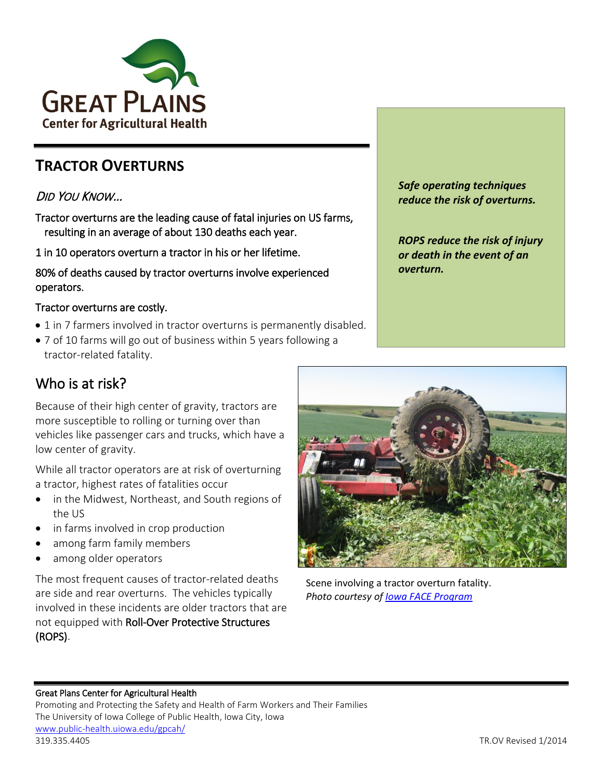

# **TRACTOR OVERTURNS**

## DID YOU KNOW…

Tractor overturns are the leading cause of fatal injuries on US farms, resulting in an average of about 130 deaths each year.

1 in 10 operators overturn a tractor in his or her lifetime.

80% of deaths caused by tractor overturns involve experienced operators.

### Tractor overturns are costly.

- 1 in 7 farmers involved in tractor overturns is permanently disabled.
- 7 of 10 farms will go out of business within 5 years following a tractor-related fatality.

*Safe operating techniques reduce the risk of overturns.*

*ROPS reduce the risk of injury or death in the event of an overturn.*

## Who is at risk?

Because of their high center of gravity, tractors are more susceptible to rolling or turning over than vehicles like passenger cars and trucks, which have a low center of gravity.

While all tractor operators are at risk of overturning a tractor, highest rates of fatalities occur

- in the Midwest, Northeast, and South regions of the US
- in farms involved in crop production
- among farm family members
- among older operators

The most frequent causes of tractor-related deaths are side and rear overturns. The vehicles typically involved in these incidents are older tractors that are not equipped with Roll-Over Protective Structures (ROPS).



Scene involving a tractor overturn fatality. *Photo courtesy o[f Iowa FACE Program](http://www.public-health.uiowa.edu/face/)*

#### Great Plans Center for Agricultural Health

Promoting and Protecting the Safety and Health of Farm Workers and Their Families The University of Iowa College of Public Health, Iowa City, Iowa [www.public-health.uiowa.edu/gpcah/](http://www.public-health.uiowa.edu/gpcah/) 319.335.4405 TR.OV Revised 1/2014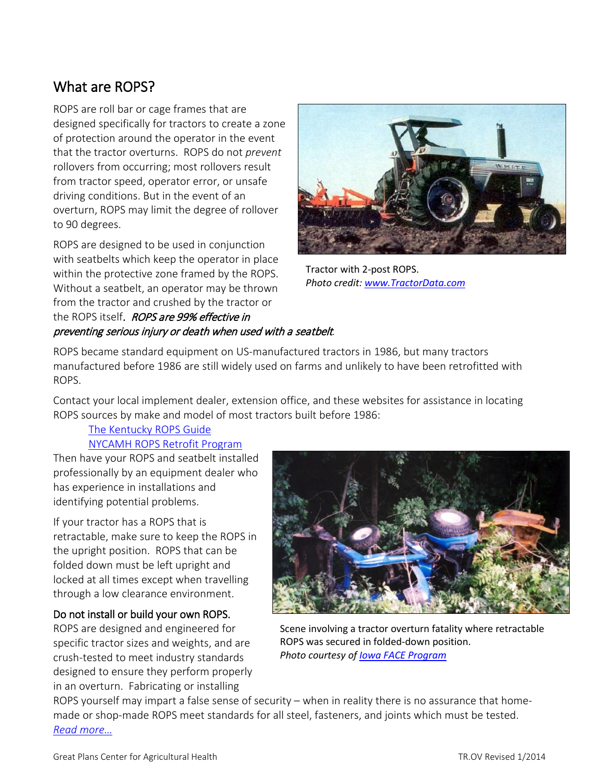# What are ROPS?

ROPS are roll bar or cage frames that are designed specifically for tractors to create a zone of protection around the operator in the event that the tractor overturns. ROPS do not *prevent* rollovers from occurring; most rollovers result from tractor speed, operator error, or unsafe driving conditions. But in the event of an overturn, ROPS may limit the degree of rollover to 90 degrees.

ROPS are designed to be used in conjunction with seatbelts which keep the operator in place within the protective zone framed by the ROPS. Without a seatbelt, an operator may be thrown from the tractor and crushed by the tractor or the ROPS itself. **ROPS are 99% effective in** preventing serious injury or death when used with a seatbelt*.*



Tractor with 2-post ROPS. *Photo credit: [www.TractorData.com](http://www.tractordata.com/)* 

ROPS became standard equipment on US-manufactured tractors in 1986, but many tractors manufactured before 1986 are still widely used on farms and unlikely to have been retrofitted with ROPS.

Contact your local implement dealer, extension office, and these websites for assistance in locating ROPS sources by make and model of most tractors built before 1986:

### The [Kentucky ROPS Guide](http://warehouse.ca.uky.edu/rops/ropshome.asp) [NYCAMH ROPS Retrofit Program](https://www.nycamhoutreach.com/ropsr4u/)

Then have your ROPS and seatbelt installed professionally by an equipment dealer who has experience in installations and identifying potential problems.

If your tractor has a ROPS that is retractable, make sure to keep the ROPS in the upright position. ROPS that can be folded down must be left upright and locked at all times except when travelling through a low clearance environment.

### Do not install or build your own ROPS.

ROPS are designed and engineered for specific tractor sizes and weights, and are crush-tested to meet industry standards designed to ensure they perform properly in an overturn. Fabricating or installing



Scene involving a tractor overturn fatality where retractable ROPS was secured in folded-down position. *Photo courtesy of [Iowa FACE Program](http://www.public-health.uiowa.edu/face/)*

ROPS yourself may impart a false sense of security – when in reality there is no assurance that homemade or shop-made ROPS meet standards for all steel, fasteners, and joints which must be tested. *[Read more…](https://www.nycamhoutreach.com/ropsr4u/ny/installer-info/)*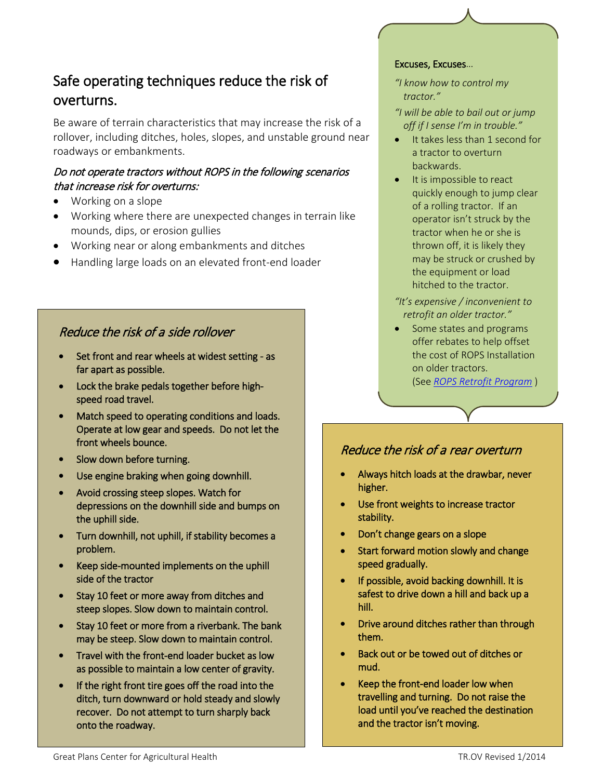# Safe operating techniques reduce the risk of overturns.

Be aware of terrain characteristics that may increase the risk of a rollover, including ditches, holes, slopes, and unstable ground near roadways or embankments.

## Do not operate tractors without ROPS in the following scenarios that increase risk for overturns:

- Working on a slope
- Working where there are unexpected changes in terrain like mounds, dips, or erosion gullies
- Working near or along embankments and ditches
- Handling large loads on an elevated front-end loader

## Reduce the risk of a side rollover

- Set front and rear wheels at widest setting as far apart as possible.
- Lock the brake pedals together before highspeed road travel.
- Match speed to operating conditions and loads. Operate at low gear and speeds. Do not let the front wheels bounce.
- Slow down before turning.
- Use engine braking when going downhill.
- Avoid crossing steep slopes. Watch for depressions on the downhill side and bumps on the uphill side.
- Turn downhill, not uphill, if stability becomes a problem.
- Keep side-mounted implements on the uphill side of the tractor
- Stay 10 feet or more away from ditches and steep slopes. Slow down to maintain control.
- Stay 10 feet or more from a riverbank. The bank may be steep. Slow down to maintain control.
- Travel with the front-end loader bucket as low as possible to maintain a low center of gravity.
- If the right front tire goes off the road into the ditch, turn downward or hold steady and slowly recover. Do not attempt to turn sharply back onto the roadway.

#### Excuses, Excuses…

*"I know how to control my tractor."*

- *"I will be able to bail out or jump off if I sense I'm in trouble."*
- It takes less than 1 second for a tractor to overturn backwards.
- It is impossible to react quickly enough to jump clear of a rolling tractor. If an operator isn't struck by the tractor when he or she is thrown off, it is likely they may be struck or crushed by the equipment or load hitched to the tractor.
- *"It's expensive / inconvenient to retrofit an older tractor."*
- Some states and programs offer rebates to help offset the cost of ROPS Installation on older tractors. (See *[ROPS Retrofit Program](https://www.nycamhoutreach.com/ropsr4u/)* )

## Reduce the risk of a rear overturn

- Always hitch loads at the drawbar, never higher.
- Use front weights to increase tractor stability.
- Don't change gears on a slope
- Start forward motion slowly and change speed gradually.
- If possible, avoid backing downhill. It is safest to drive down a hill and back up a hill.
- Drive around ditches rather than through them.
- Back out or be towed out of ditches or mud.
- Keep the front-end loader low when travelling and turning. Do not raise the load until you've reached the destination and the tractor isn't moving.